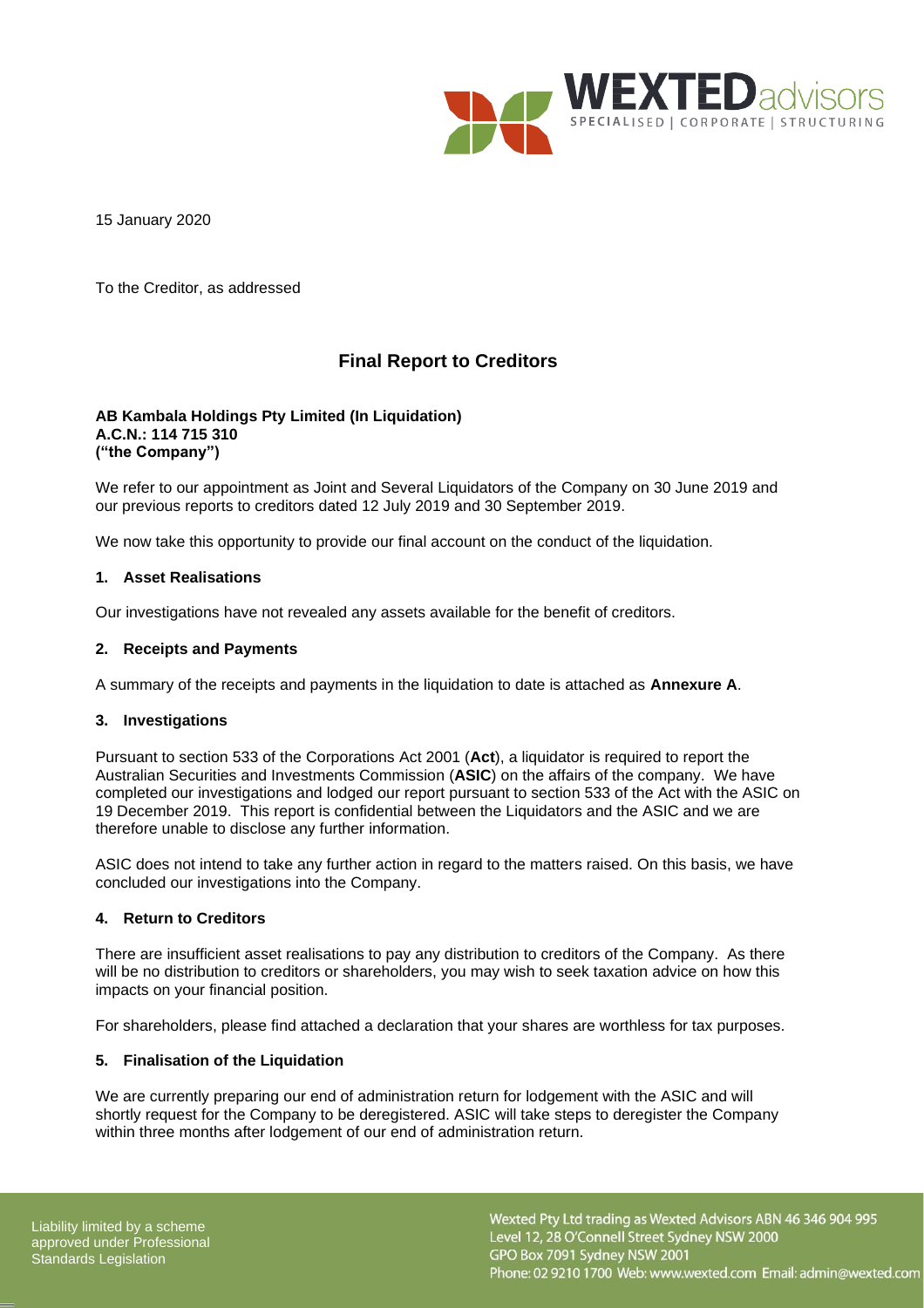

15 January 2020

To the Creditor, as addressed

# **Final Report to Creditors**

#### **AB Kambala Holdings Pty Limited (In Liquidation) A.C.N.: 114 715 310 ("the Company")**

We refer to our appointment as Joint and Several Liquidators of the Company on 30 June 2019 and our previous reports to creditors dated 12 July 2019 and 30 September 2019.

We now take this opportunity to provide our final account on the conduct of the liquidation.

## **1. Asset Realisations**

Our investigations have not revealed any assets available for the benefit of creditors.

## **2. Receipts and Payments**

A summary of the receipts and payments in the liquidation to date is attached as **Annexure A**.

## **3. Investigations**

Pursuant to section 533 of the Corporations Act 2001 (**Act**), a liquidator is required to report the Australian Securities and Investments Commission (**ASIC**) on the affairs of the company. We have completed our investigations and lodged our report pursuant to section 533 of the Act with the ASIC on 19 December 2019. This report is confidential between the Liquidators and the ASIC and we are therefore unable to disclose any further information.

ASIC does not intend to take any further action in regard to the matters raised. On this basis, we have concluded our investigations into the Company.

## **4. Return to Creditors**

There are insufficient asset realisations to pay any distribution to creditors of the Company. As there will be no distribution to creditors or shareholders, you may wish to seek taxation advice on how this impacts on your financial position.

For shareholders, please find attached a declaration that your shares are worthless for tax purposes.

## **5. Finalisation of the Liquidation**

We are currently preparing our end of administration return for lodgement with the ASIC and will shortly request for the Company to be deregistered. ASIC will take steps to deregister the Company within three months after lodgement of our end of administration return.

Liability limited by a scheme approved under Professional Standards Legislation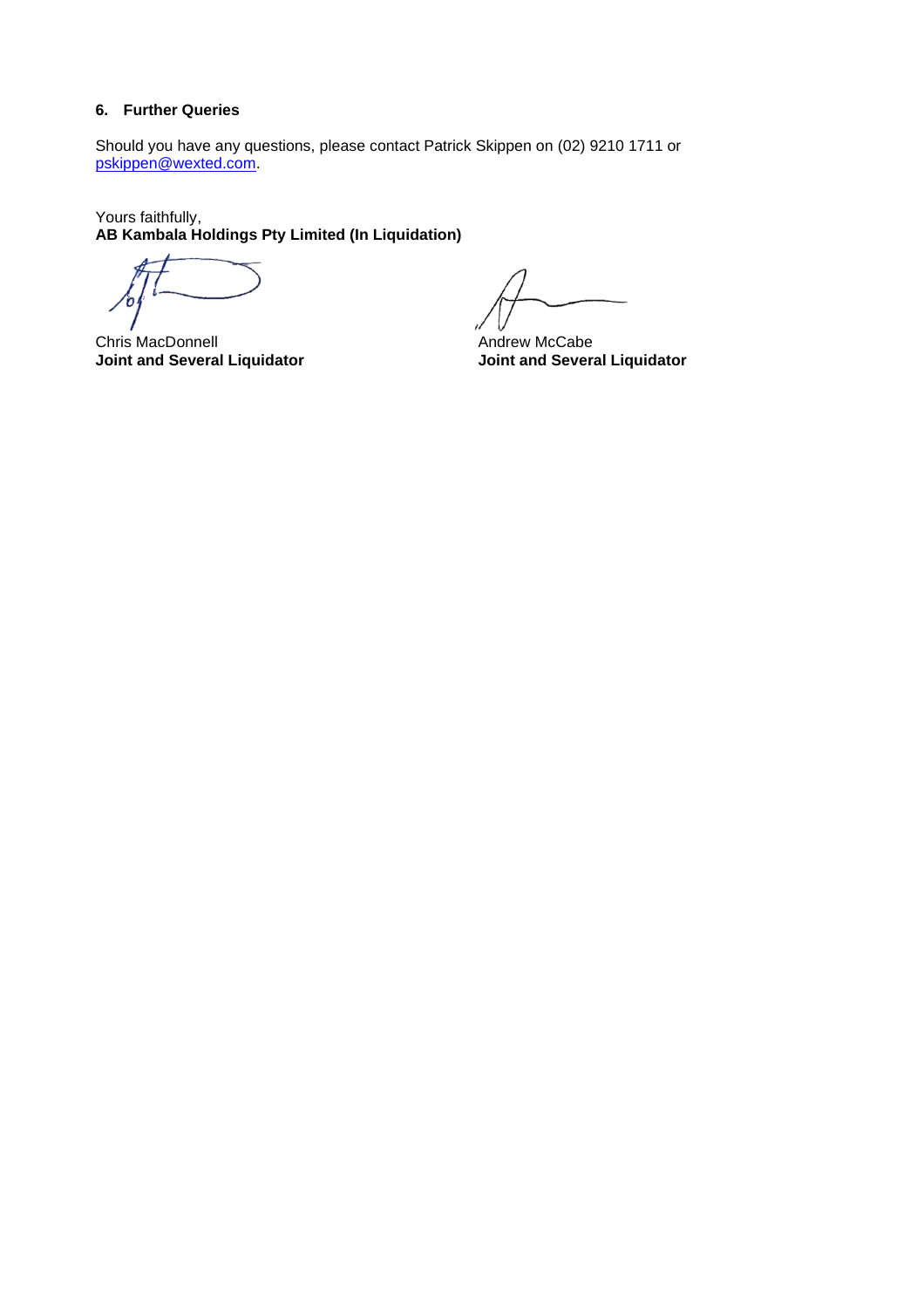## **6. Further Queries**

Should you have any questions, please contact Patrick Skippen on (02) 9210 1711 or pskippen@wexted.com.

Yours faithfully, **AB Kambala Holdings Pty Limited (In Liquidation)**

Chris MacDonnell<br> **Joint and Several Liquidator**<br> **Joint and Several Liquidator**<br> **Andrew McCabe** 

**Joint and Several Liquidator Joint and Several Liquidator**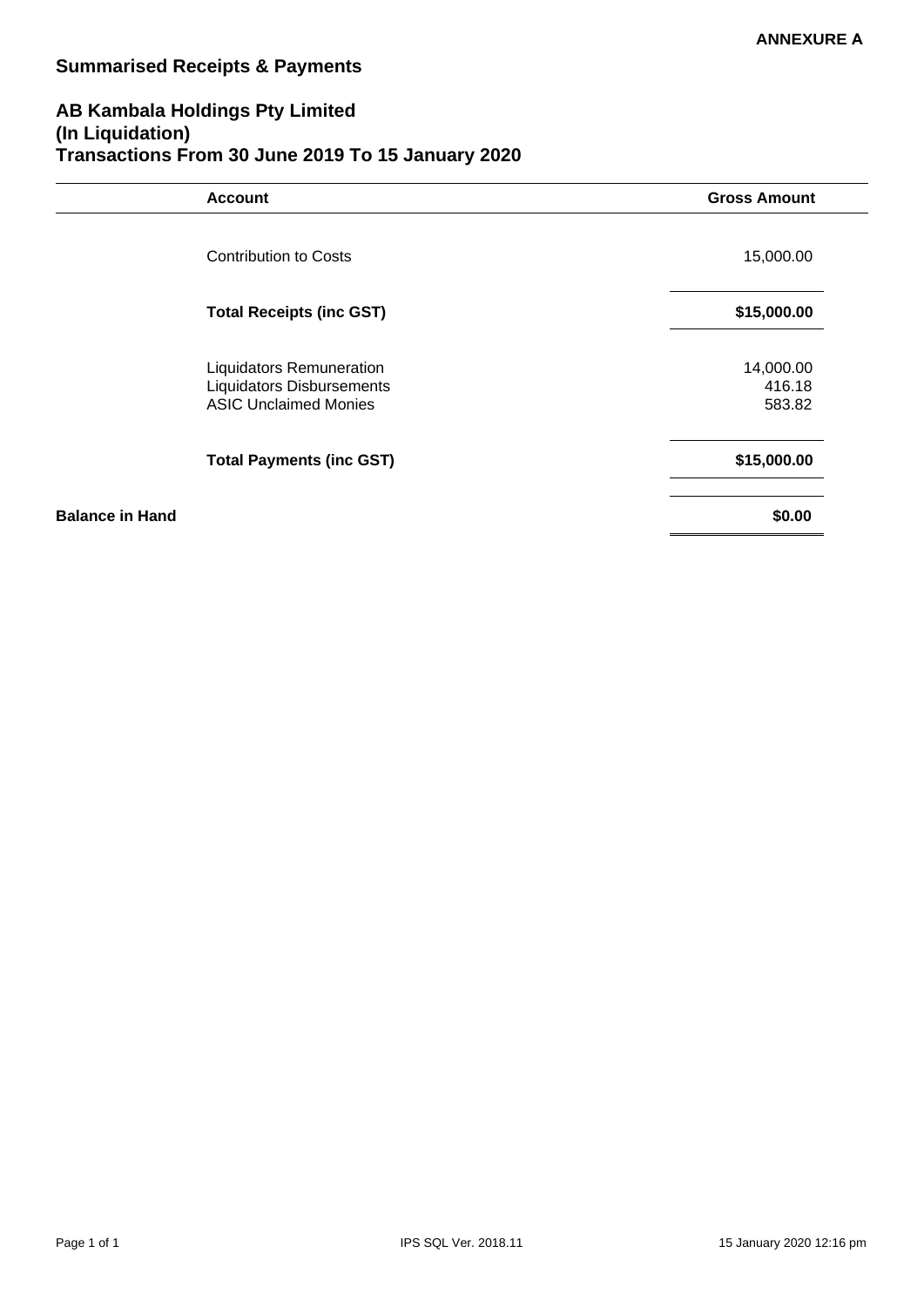# **Summarised Receipts & Payments**

## **AB Kambala Holdings Pty Limited (In Liquidation) Transactions From 30 June 2019 To 15 January 2020**

|                        | <b>Account</b>                                                                               | <b>Gross Amount</b>           |
|------------------------|----------------------------------------------------------------------------------------------|-------------------------------|
|                        | Contribution to Costs                                                                        | 15,000.00                     |
|                        | <b>Total Receipts (inc GST)</b>                                                              | \$15,000.00                   |
|                        | Liquidators Remuneration<br><b>Liquidators Disbursements</b><br><b>ASIC Unclaimed Monies</b> | 14,000.00<br>416.18<br>583.82 |
|                        | <b>Total Payments (inc GST)</b>                                                              | \$15,000.00                   |
| <b>Balance in Hand</b> |                                                                                              | \$0.00                        |